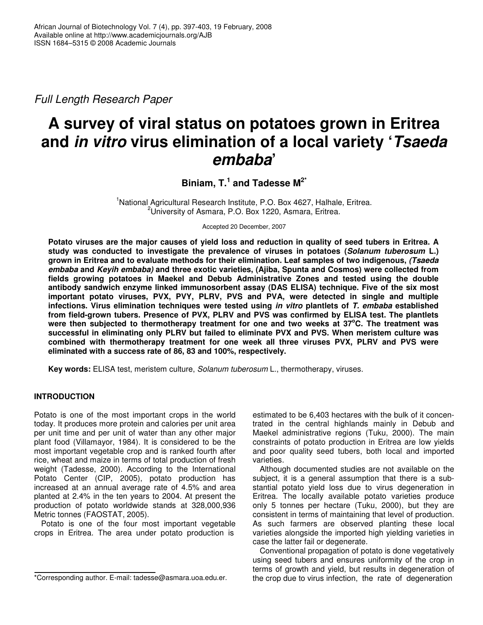*Full Length Research Paper*

# **A survey of viral status on potatoes grown in Eritrea and** *in vitro* **virus elimination of a local variety '***Tsaeda embaba***'**

# **Biniam, T. 1 and Tadesse M 2\***

<sup>1</sup>National Agricultural Research Institute, P.O. Box 4627, Halhale, Eritrea. <sup>2</sup>University of Asmara, P.O. Box 1220, Asmara, Eritrea.

Accepted 20 December, 2007

Potato viruses are the major causes of yield loss and reduction in quality of seed tubers in Eritrea. A **study was conducted to investigate the prevalence of viruses in potatoes (***Solanum tuberosum* **L.) grown in Eritrea and to evaluate methods for their elimination. Leaf samples of two indigenous,** *(Tsaeda embaba* **and** *Keyih embaba)* **and three exotic varieties, (Ajiba, Spunta and Cosmos) were collected from fields growing potatoes in Maekel and Debub Administrative Zones and tested using the double antibody sandwich enzyme linked immunosorbent assay (DAS ELISA) technique. Five of the six most important potato viruses, PVX, PVY, PLRV, PVS and PVA, were detected in single and multiple infections. Virus elimination techniques were tested using** *in vitro* **plantlets of** *T. embaba* **established from field-grown tubers. Presence of PVX, PLRV and PVS was confirmed by ELISA test. The plantlets were then subjected to thermotherapy treatment for one and two weeks at 37 <sup>o</sup>C. The treatment was successful in eliminating only PLRV but failed to eliminate PVX and PVS. When meristem culture was combined with thermotherapy treatment for one week all three viruses PVX, PLRV and PVS were eliminated with a success rate of 86, 83 and 100%, respectively.**

**Key words:** ELISA test, meristem culture, *Solanum tuberosum* L., thermotherapy, viruses.

# **INTRODUCTION**

Potato is one of the most important crops in the world today. It produces more protein and calories per unit area per unit time and per unit of water than any other major plant food (Villamayor, 1984). It is considered to be the most important vegetable crop and is ranked fourth after rice, wheat and maize in terms of total production of fresh weight (Tadesse, 2000). According to the International Potato Center (CIP, 2005), potato production has increased at an annual average rate of 4.5% and area planted at 2.4% in the ten years to 2004. At present the production of potato worldwide stands at 328,000,936 Metric tonnes (FAOSTAT, 2005).

Potato is one of the four most important vegetable crops in Eritrea. The area under potato production is

estimated to be 6,403 hectares with the bulk of it concentrated in the central highlands mainly in Debub and Maekel administrative regions (Tuku, 2000). The main constraints of potato production in Eritrea are low yields and poor quality seed tubers, both local and imported varieties.

Although documented studies are not available on the subject, it is a general assumption that there is a substantial potato yield loss due to virus degeneration in Eritrea. The locally available potato varieties produce only 5 tonnes per hectare (Tuku, 2000), but they are consistent in terms of maintaining that level of production. As such farmers are observed planting these local varieties alongside the imported high yielding varieties in case the latter fail or degenerate.

Conventional propagation of potato is done vegetatively using seed tubers and ensures uniformity of the crop in terms of growth and yield, but results in degeneration of the crop due to virus infection, the rate of degeneration

<sup>\*</sup>Corresponding author. E-mail: tadesse@asmara.uoa.edu.er.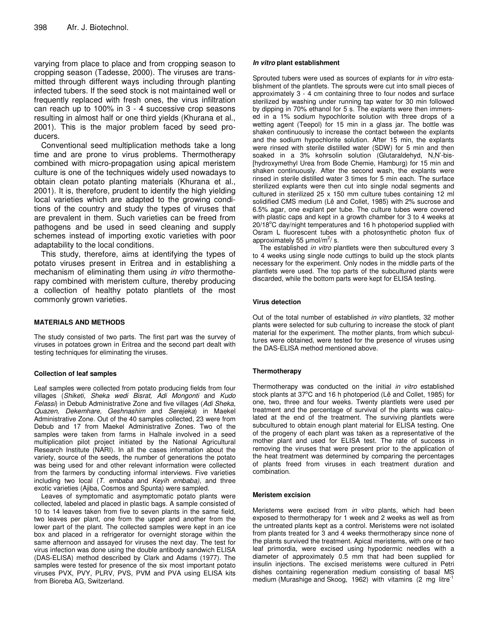varying from place to place and from cropping season to cropping season (Tadesse, 2000). The viruses are transmitted through different ways including through planting infected tubers. If the seed stock is not maintained well or frequently replaced with fresh ones, the virus infiltration can reach up to 100% in 3 - 4 successive crop seasons resulting in almost half or one third yields (Khurana et al., 2001). This is the major problem faced by seed producers.

Conventional seed multiplication methods take a long time and are prone to virus problems. Thermotherapy combined with micro-propagation using apical meristem culture is one of the techniques widely used nowadays to obtain clean potato planting materials (Khurana et al., 2001). It is, therefore, prudent to identify the high yielding local varieties which are adapted to the growing conditions of the country and study the types of viruses that are prevalent in them. Such varieties can be freed from pathogens and be used in seed cleaning and supply schemes instead of importing exotic varieties with poor adaptability to the local conditions.

This study, therefore, aims at identifying the types of potato viruses present in Eritrea and in establishing a mechanism of eliminating them using *in vitro* thermotherapy combined with meristem culture, thereby producing a collection of healthy potato plantlets of the most commonly grown varieties.

#### **MATERIALS AND METHODS**

The study consisted of two parts. The first part was the survey of viruses in potatoes grown in Eritrea and the second part dealt with testing techniques for eliminating the viruses.

#### **Collection of leaf samples**

Leaf samples were collected from potato producing fields from four villages (*Shiketi, Sheka wedi Bisrat, Adi Mongonti* and *Kudo Felassi*) in Debub Administrative Zone and five villages (*Adi Sheka, Quazen, Dekemhare, Geshnashim* and *Serejeka*) in Maekel Administrative Zone. Out of the 40 samples collected, 23 were from Debub and 17 from Maekel Administrative Zones. Two of the samples were taken from farms in Halhale involved in a seed multiplication pilot project initiated by the National Agricultural Research Institute (NARI). In all the cases information about the variety, source of the seeds, the number of generations the potato was being used for and other relevant information were collected from the farmers by conducting informal interviews. Five varieties including two local (*T. embaba* and *Keyih embaba),* and three exotic varieties (Ajiba, Cosmos and Spunta) were sampled.

Leaves of symptomatic and asymptomatic potato plants were collected, labeled and placed in plastic bags. A sample consisted of 10 to 14 leaves taken from five to seven plants in the same field, two leaves per plant, one from the upper and another from the lower part of the plant. The collected samples were kept in an ice box and placed in a refrigerator for overnight storage within the same afternoon and assayed for viruses the next day. The test for virus infection was done using the double antibody sandwich ELISA (DAS-ELISA) method described by Clark and Adams (1977). The samples were tested for presence of the six most important potato viruses PVX, PVY, PLRV, PVS, PVM and PVA using ELISA kits from Bioreba AG, Switzerland.

#### *In vitro* **plant establishment**

Sprouted tubers were used as sources of explants for *in vitro* establishment of the plantlets. The sprouts were cut into small pieces of approximately 3 - 4 cm containing three to four nodes and surface sterilized by washing under running tap water for 30 min followed by dipping in 70% ethanol for 5 s. The explants were then immersed in a 1% sodium hypochlorite solution with three drops of a wetting agent (Teepol) for 15 min in a glass jar. The bottle was shaken continuously to increase the contact between the explants and the sodium hypochlorite solution. After 15 min, the explants were rinsed with sterile distilled water (SDW) for 5 min and then soaked in a 3% kohrsolin solution (Glutaraldehyd, N,N'-bis- [hydroxymethyl Urea from Bode Chemie, Hamburg) for 15 min and shaken continuously. After the second wash, the explants were rinsed in sterile distilled water 3 times for 5 min each. The surface sterilized explants were then cut into single nodal segments and cultured in sterilized 25 x 150 mm culture tubes containing 12 ml solidified CMS medium (Lê and Collet, 1985) with 2% sucrose and 6.5% agar, one explant per tube. The culture tubes were covered with plastic caps and kept in a growth chamber for 3 to 4 weeks at  $20/18^{\circ}$ C day/night temperatures and 16 h photoperiod supplied with Osram L fluorescent tubes with a photosynthetic photon flux of approximately 55  $\mu$ mol/m<sup>2</sup>/s.

The established *in vitro* plantlets were then subcultured every 3 to 4 weeks using single node cuttings to build up the stock plants necessary for the experiment. Only nodes in the middle parts of the plantlets were used. The top parts of the subcultured plants were discarded, while the bottom parts were kept for ELISA testing.

#### **Virus detection**

Out of the total number of established *in vitro* plantlets, 32 mother plants were selected for sub culturing to increase the stock of plant material for the experiment. The mother plants, from which subcultures were obtained, were tested for the presence of viruses using the DAS-ELISA method mentioned above.

#### **Thermotherapy**

Thermotherapy was conducted on the initial *in vitro* established stock plants at 37°C and 16 h photoperiod (Lê and Collet, 1985) for one, two, three and four weeks. Twenty plantlets were used per treatment and the percentage of survival of the plants was calculated at the end of the treatment. The surviving plantlets were subcultured to obtain enough plant material for ELISA testing. One of the progeny of each plant was taken as a representative of the mother plant and used for ELISA test. The rate of success in removing the viruses that were present prior to the application of the heat treatment was determined by comparing the percentages of plants freed from viruses in each treatment duration and combination.

#### **Meristem excision**

Meristems were excised from *in vitro* plants, which had been exposed to thermotherapy for 1 week and 2 weeks as well as from the untreated plants kept as a control. Meristems were not isolated from plants treated for 3 and 4 weeks thermotherapy since none of the plants survived the treatment. Apical meristems, with one or two leaf primordia, were excised using hypodermic needles with a diameter of approximately 0.5 mm that had been supplied for insulin injections. The excised meristems were cultured in Petri dishes containing regeneration medium consisting of basal MS medium (Murashige and Skoog, 1962) with vitamins (2 mg litre<sup>-1</sup>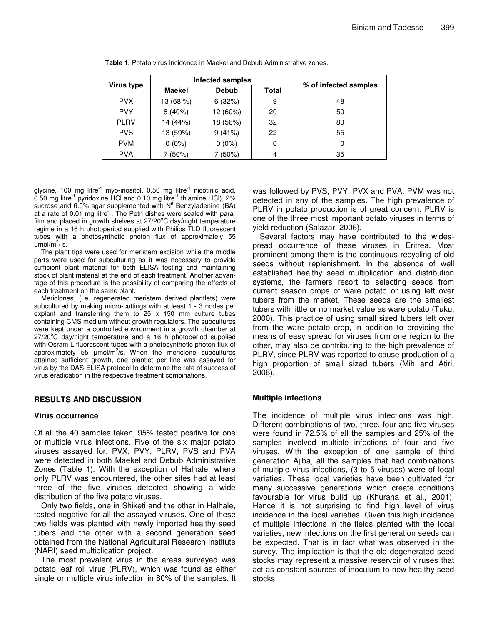| Virus type  | Infected samples |              |              |                       |  |
|-------------|------------------|--------------|--------------|-----------------------|--|
|             | <b>Maekel</b>    | <b>Debub</b> | <b>Total</b> | % of infected samples |  |
| <b>PVX</b>  | 13 (68 %)        | 6(32%)       | 19           | 48                    |  |
| <b>PVY</b>  | 8(40%)           | 12 (60%)     | 20           | 50                    |  |
| <b>PLRV</b> | 14 (44%)         | 18 (56%)     | 32           | 80                    |  |
| <b>PVS</b>  | 13 (59%)         | 9(41%)       | 22           | 55                    |  |
| <b>PVM</b>  | $0(0\%)$         | $0(0\%)$     | 0            |                       |  |
| <b>PVA</b>  | $(50\%)$         | 7 (50%)      | 14           | 35                    |  |

**Table 1.** Potato virus incidence in Maekel and Debub Administrative zones.

glycine, 100 mg litre<sup>-1</sup> myo-inositol, 0.50 mg litre<sup>-1</sup> nicotinic acid, 0.50 mg litre<sup>-1</sup> pyridoxine HCl and 0.10 mg litre<sup>-1</sup> thiamine HCl), 2% sucrose and 6.5% agar supplemented with  $N^6$  Benzyladenine (BA) at a rate of 0.01 mg litre<sup>-1</sup>. The Petri dishes were sealed with parafilm and placed in growth shelves at 27/20°C day/night temperature regime in a 16 h photoperiod supplied with Philips TLD fluorescent tubes with a photosynthetic photon flux of approximately 55 µmol/m<sup>2</sup>/ s.

The plant tips were used for meristem excision while the middle parts were used for subculturing as it was necessary to provide sufficient plant material for both ELISA testing and maintaining stock of plant material at the end of each treatment. Another advantage of this procedure is the possibility of comparing the effects of each treatment on the same plant.

Mericlones, (i.e. regenerated meristem derived plantlets) were subcultured by making micro-cuttings with at least 1 - 3 nodes per explant and transferring them to 25 x 150 mm culture tubes containing CMS medium without growth regulators. The subcultures were kept under a controlled environment in a growth chamber at 27/20°C day/night temperature and a 16 h photoperiod supplied with Osram L fluorescent tubes with a photosynthetic photon flux of approximately 55  $\mu$ mol/m<sup>2</sup>/s. When the mericlone subcultures attained sufficient growth, one plantlet per line was assayed for virus by the DAS-ELISA protocol to determine the rate of success of virus eradication in the respective treatment combinations.

# **RESULTS AND DISCUSSION**

# **Virus occurrence**

Of all the 40 samples taken, 95% tested positive for one or multiple virus infections. Five of the six major potato viruses assayed for, PVX, PVY, PLRV, PVS and PVA were detected in both Maekel and Debub Administrative Zones (Table 1). With the exception of Halhale, where only PLRV was encountered, the other sites had at least three of the five viruses detected showing a wide distribution of the five potato viruses.

Only two fields, one in Shiketi and the other in Halhale, tested negative for all the assayed viruses. One of these two fields was planted with newly imported healthy seed tubers and the other with a second generation seed obtained from the National Agricultural Research Institute (NARI) seed multiplication project.

The most prevalent virus in the areas surveyed was potato leaf roll virus (PLRV), which was found as either single or multiple virus infection in 80% of the samples. It

was followed by PVS, PVY, PVX and PVA. PVM was not detected in any of the samples. The high prevalence of PLRV in potato production is of great concern. PLRV is one of the three most important potato viruses in terms of yield reduction (Salazar, 2006).

Several factors may have contributed to the widespread occurrence of these viruses in Eritrea. Most prominent among them is the continuous recycling of old seeds without replenishment. In the absence of well established healthy seed multiplication and distribution systems, the farmers resort to selecting seeds from current season crops of ware potato or using left over tubers from the market. These seeds are the smallest tubers with little or no market value as ware potato (Tuku, 2000). This practice of using small sized tubers left over from the ware potato crop, in addition to providing the means of easy spread for viruses from one region to the other, may also be contributing to the high prevalence of PLRV, since PLRV was reported to cause production of a high proportion of small sized tubers (Mih and Atiri, 2006).

# **Multiple infections**

The incidence of multiple virus infections was high. Different combinations of two, three, four and five viruses were found in 72.5% of all the samples and 25% of the samples involved multiple infections of four and five viruses. With the exception of one sample of third generation Ajiba, all the samples that had combinations of multiple virus infections, (3 to 5 viruses) were of local varieties. These local varieties have been cultivated for many successive generations which create conditions favourable for virus build up (Khurana et al., 2001). Hence it is not surprising to find high level of virus incidence in the local varieties. Given this high incidence of multiple infections in the fields planted with the local varieties, new infections on the first generation seeds can be expected. That is in fact what was observed in the survey. The implication is that the old degenerated seed stocks may represent a massive reservoir of viruses that act as constant sources of inoculum to new healthy seed stocks.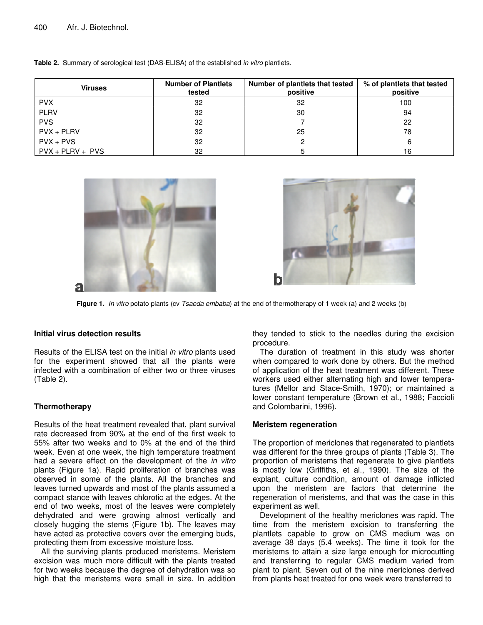| <b>Viruses</b>     | <b>Number of Plantlets</b><br>tested | Number of plantlets that tested<br>positive | % of plantlets that tested<br>positive |
|--------------------|--------------------------------------|---------------------------------------------|----------------------------------------|
| <b>PVX</b>         | 32                                   | 32                                          | 100                                    |
| <b>PLRV</b>        | 32                                   | 30                                          | 94                                     |
| <b>PVS</b>         | 32                                   |                                             | 22                                     |
| $PVX + PLRV$       | 32                                   | 25                                          | 78                                     |
| $PVX + PVS$        | 32                                   |                                             | 6                                      |
| $PVX + PLRV + PVS$ | 32                                   |                                             | 16                                     |

**Table 2.** Summary of serological test (DAS-ELISA) of the established *in vitro* plantlets.





**Figure 1***. In vitro* potato plants (cv *Tsaeda embaba*) at the end of thermotherapy of 1 week (a) and 2 weeks (b)

# **Initial virus detection results**

Results of the ELISA test on the initial *in vitro* plants used for the experiment showed that all the plants were infected with a combination of either two or three viruses (Table 2).

# **Thermotherapy**

Results of the heat treatment revealed that, plant survival rate decreased from 90% at the end of the first week to 55% after two weeks and to 0% at the end of the third week. Even at one week, the high temperature treatment had a severe effect on the development of the *in vitro* plants (Figure 1a). Rapid proliferation of branches was observed in some of the plants. All the branches and leaves turned upwards and most of the plants assumed a compact stance with leaves chlorotic at the edges. At the end of two weeks, most of the leaves were completely dehydrated and were growing almost vertically and closely hugging the stems (Figure 1b). The leaves may have acted as protective covers over the emerging buds, protecting them from excessive moisture loss.

All the surviving plants produced meristems. Meristem excision was much more difficult with the plants treated for two weeks because the degree of dehydration was so high that the meristems were small in size. In addition

they tended to stick to the needles during the excision procedure.

The duration of treatment in this study was shorter when compared to work done by others. But the method of application of the heat treatment was different. These workers used either alternating high and lower temperatures (Mellor and Stace-Smith, 1970); or maintained a lower constant temperature (Brown et al., 1988; Faccioli and Colombarini, 1996).

# **Meristem regeneration**

The proportion of mericlones that regenerated to plantlets was different for the three groups of plants (Table 3). The proportion of meristems that regenerate to give plantlets is mostly low (Griffiths, et al., 1990). The size of the explant, culture condition, amount of damage inflicted upon the meristem are factors that determine the regeneration of meristems, and that was the case in this experiment as well.

Development of the healthy mericlones was rapid. The time from the meristem excision to transferring the plantlets capable to grow on CMS medium was on average 38 days (5.4 weeks). The time it took for the meristems to attain a size large enough for microcutting and transferring to regular CMS medium varied from plant to plant. Seven out of the nine mericlones derived from plants heat treated for one week were transferred to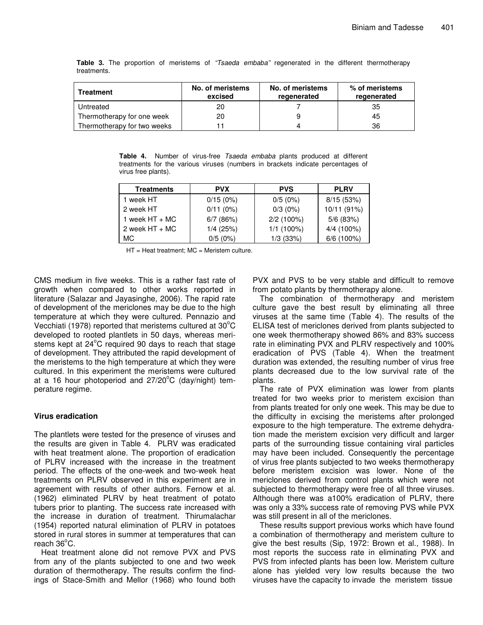| <b>Treatment</b>            | No. of meristems<br>excised | No. of meristems<br>regenerated | % of meristems<br>regenerated |
|-----------------------------|-----------------------------|---------------------------------|-------------------------------|
| Untreated                   | 20                          |                                 | 35                            |
| Thermotherapy for one week  | 20                          |                                 | 45                            |
| Thermotherapy for two weeks |                             |                                 | 36                            |

**Table 3.** The proportion of meristems of *"Tsaeda embaba"* regenerated in the different thermotherapy treatments.

**Table 4.** Number of virus-free *Tsaeda embaba* plants produced at different treatments for the various viruses (numbers in brackets indicate percentages of virus free plants).

| <b>Treatments</b> | <b>PVX</b><br><b>PVS</b> |              | <b>PLRV</b>  |
|-------------------|--------------------------|--------------|--------------|
| 1 week HT         | 0/15(0%)                 | 0/5(0%)      | 8/15(53%)    |
| 2 week HT         | $0/11(0\%)$              | $0/3(0\%)$   | 10/11 (91%)  |
| 1 week $HT + MC$  | 6/7(86%)                 | $2/2$ (100%) | $5/6$ (83%)  |
| 2 week $HT + MC$  | 1/4(25%)                 | $1/1(100\%)$ | 4/4 (100%)   |
| MC.               | 0/5(0%)                  | $1/3$ (33%)  | $6/6$ (100%) |

 $HT = Heat treatment$ ; MC = Meristem culture.

CMS medium in five weeks. This is a rather fast rate of growth when compared to other works reported in literature (Salazar and Jayasinghe, 2006). The rapid rate of development of the mericlones may be due to the high temperature at which they were cultured. Pennazio and Vecchiati (1978) reported that meristems cultured at  $30^{\circ}$ C developed to rooted plantlets in 50 days, whereas meristems kept at 24°C required 90 days to reach that stage of development. They attributed the rapid development of the meristems to the high temperature at which they were cultured. In this experiment the meristems were cultured at a 16 hour photoperiod and 27/20°C (day/night) temperature regime.

# **Virus eradication**

The plantlets were tested for the presence of viruses and the results are given in Table 4. PLRV was eradicated with heat treatment alone. The proportion of eradication of PLRV increased with the increase in the treatment period. The effects of the one-week and two-week heat treatments on PLRV observed in this experiment are in agreement with results of other authors. Fernow et al. (1962) eliminated PLRV by heat treatment of potato tubers prior to planting. The success rate increased with the increase in duration of treatment. Thirumalachar (1954) reported natural elimination of PLRV in potatoes stored in rural stores in summer at temperatures that can reach 36°C.

Heat treatment alone did not remove PVX and PVS from any of the plants subjected to one and two week duration of thermotherapy. The results confirm the findings of Stace-Smith and Mellor (1968) who found both PVX and PVS to be very stable and difficult to remove from potato plants by thermotherapy alone.

The combination of thermotherapy and meristem culture gave the best result by eliminating all three viruses at the same time (Table 4). The results of the ELISA test of mericlones derived from plants subjected to one week thermotherapy showed 86% and 83% success rate in eliminating PVX and PLRV respectively and 100% eradication of PVS (Table 4). When the treatment duration was extended, the resulting number of virus free plants decreased due to the low survival rate of the plants.

The rate of PVX elimination was lower from plants treated for two weeks prior to meristem excision than from plants treated for only one week. This may be due to the difficulty in excising the meristems after prolonged exposure to the high temperature. The extreme dehydration made the meristem excision very difficult and larger parts of the surrounding tissue containing viral particles may have been included. Consequently the percentage of virus free plants subjected to two weeks thermotherapy before meristem excision was lower. None of the mericlones derived from control plants which were not subjected to thermotherapy were free of all three viruses. Although there was a100% eradication of PLRV, there was only a 33% success rate of removing PVS while PVX was still present in all of the mericlones.

These results support previous works which have found a combination of thermotherapy and meristem culture to give the best results (Sip, 1972: Brown et al.*,* 1988). In most reports the success rate in eliminating PVX and PVS from infected plants has been low. Meristem culture alone has yielded very low results because the two viruses have the capacity to invade the meristem tissue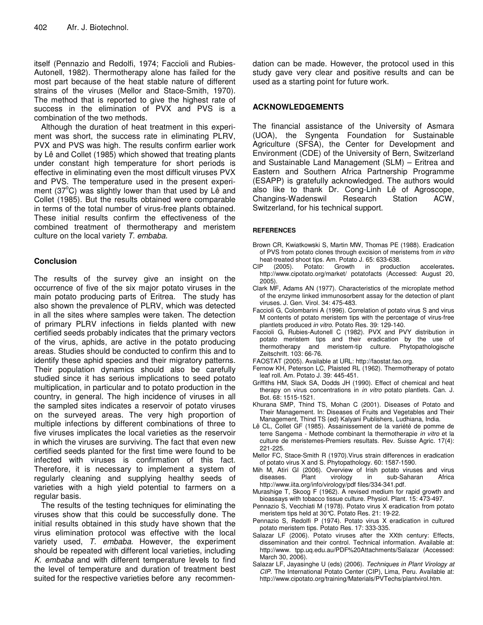itself (Pennazio and Redolfi, 1974; Faccioli and Rubies-Autonell, 1982). Thermotherapy alone has failed for the most part because of the heat stable nature of different strains of the viruses (Mellor and Stace-Smith, 1970). The method that is reported to give the highest rate of success in the elimination of PVX and PVS is a combination of the two methods.

Although the duration of heat treatment in this experiment was short, the success rate in eliminating PLRV, PVX and PVS was high. The results confirm earlier work by Lê and Collet (1985) which showed that treating plants under constant high temperature for short periods is effective in eliminating even the most difficult viruses PVX and PVS. The temperature used in the present experiment (37°C) was slightly lower than that used by Lê and Collet (1985). But the results obtained were comparable in terms of the total number of virus-free plants obtained. These initial results confirm the effectiveness of the combined treatment of thermotherapy and meristem culture on the local variety *T. embaba.*

# **Conclusion**

The results of the survey give an insight on the occurrence of five of the six major potato viruses in the main potato producing parts of Eritrea. The study has also shown the prevalence of PLRV, which was detected in all the sites where samples were taken. The detection of primary PLRV infections in fields planted with new certified seeds probably indicates that the primary vectors of the virus, aphids, are active in the potato producing areas. Studies should be conducted to confirm this and to identify these aphid species and their migratory patterns. Their population dynamics should also be carefully studied since it has serious implications to seed potato multiplication, in particular and to potato production in the country, in general. The high incidence of viruses in all the sampled sites indicates a reservoir of potato viruses on the surveyed areas. The very high proportion of multiple infections by different combinations of three to five viruses implicates the local varieties as the reservoir in which the viruses are surviving. The fact that even new certified seeds planted for the first time were found to be infected with viruses is confirmation of this fact. Therefore, it is necessary to implement a system of regularly cleaning and supplying healthy seeds of varieties with a high yield potential to farmers on a regular basis.

The results of the testing techniques for eliminating the viruses show that this could be successfully done. The initial results obtained in this study have shown that the virus elimination protocol was effective with the local variety used, *T. embaba*. However, the experiment should be repeated with different local varieties, including *K. embaba* and with different temperature levels to find the level of temperature and duration of treatment best suited for the respective varieties before any recommendation can be made. However, the protocol used in this study gave very clear and positive results and can be used as a starting point for future work.

# **ACKNOWLEDGEMENTS**

The financial assistance of the University of Asmara (UOA), the Syngenta Foundation for Sustainable Agriculture (SFSA), the Center for Development and Environment (CDE) of the University of Bern, Switzerland and Sustainable Land Management (SLM) – Eritrea and Eastern and Southern Africa Partnership Programme (ESAPP) is gratefully acknowledged. The authors would also like to thank Dr. Cong-Linh Lê of Agroscope, Changins-Wadenswil Research Station ACW, Switzerland, for his technical support.

#### **REFERENCES**

- Brown CR, Kwiatkowski S, Martin MW, Thomas PE (1988). Eradication of PVS from potato clones through excision of meristems from *in vitro* heat-treated shoot tips. Am. Potato J. 65: 633-638.<br>CIP (2005). Potato: Growth in product
- (2005). Potato: Growth in production accelerates. http://www.cipotato.org/market/ potatofacts (Accessed: August 20, 2005).
- Clark MF, Adams AN (1977). Characteristics of the microplate method of the enzyme linked immunosorbent assay for the detection of plant viruses. J. Gen. Virol. 34: 475-483.
- Faccioli G, Colombarini A (1996). Correlation of potato virus S and virus M contents of potato meristem tips with the percentage of virus-free plantlets produced *in vitro*. Potato Res. 39: 129-140.
- Faccioli G, Rubies-Autonell C (1982). PVX and PVY distribution in potato meristem tips and their eradication by the use of thermotherapy and meristem-tip culture. Phytopathologische Zeitschrift. 103: 66-76.
- FAOSTAT (2005). Available at URL: http://faostat.fao.org.
- Fernow KH, Peterson LC, Plaisted RL (1962). Thermotherapy of potato leaf roll. Am. Potato J. 39: 445-451.
- Griffiths HM, Slack SA, Dodds JH (1990). Effect of chemical and heat therapy on virus concentrations in *in vitro* potato plantlets. Can. J. Bot. 68: 1515-1521.
- Khurana SMP, Thind TS, Mohan C (2001). Diseases of Potato and Their Management. In: Diseases of Fruits and Vegetables and Their Management, Thind TS (ed) Kalyani Publishers, Ludhiana, India.
- Lê CL, Collet GF (1985). Assainissement de la variété de pomme de terre Sangema - Methode combinant la thermotherapie *in vitro* et la culture de meristemes-Premiers resultats. Rev. Suisse Agric. 17(4): 221-225.
- Mellor FC, Stace-Smith R (1970).Virus strain differences in eradication of potato virus X and S. Phytopathology. 60: 1587-1590.
- Mih M, Atiri GI (2006). Overview of Irish potato viruses and virus in sub-Saharan Africa http://www.iita.org/info/virology/pdf files/334-341.pdf.
- Murashige T, Skoog F (1962). A revised medium for rapid growth and bioassays with tobacco tissue culture. Physiol. Plant. 15: 473-497.
- Pennazio S, Vecchiati M (1978). Potato virus X eradication from potato meristem tips held at 30°C. Potato Res. 21: 19-22.
- Pennazio S, Redolfi P (1974). Potato virus X eradication in cultured potato meristem tips. Potato Res. 17: 333-335.
- Salazar LF (2006). Potato viruses after the XXth century: Effects, dissemination and their control. Technical information. Available at: http://www. tpp.uq.edu.au/PDF%20Attachments/Salazar (Accessed: March 30, 2006).
- Salazar LF, Jayasinghe U (eds) (2006). *Techniques in Plant Virology at CIP.* The International Potato Center (CIP), Lima, Peru. Available at: http://www.cipotato.org/training/Materials/PVTechs/plantvirol.htm.